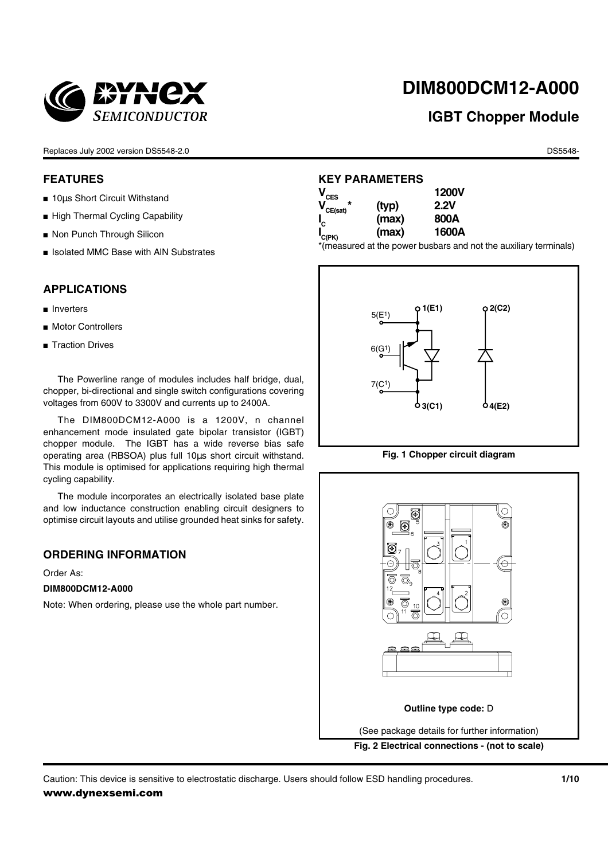

# **DIM800DCM12-A000**

# **IGBT Chopper Module**

Replaces July 2002 version DS5548-2.0 **DS5548-2.0** DS5548-

#### **FEATURES**

- 10us Short Circuit Withstand
- High Thermal Cycling Capability
- Non Punch Through Silicon
- Isolated MMC Base with AIN Substrates

### **APPLICATIONS**

- Inverters
- Motor Controllers
- Traction Drives

The Powerline range of modules includes half bridge, dual, chopper, bi-directional and single switch configurations covering voltages from 600V to 3300V and currents up to 2400A.

The DIM800DCM12-A000 is a 1200V, n channel enhancement mode insulated gate bipolar transistor (IGBT) chopper module. The IGBT has a wide reverse bias safe operating area (RBSOA) plus full 10µs short circuit withstand. This module is optimised for applications requiring high thermal cycling capability.

The module incorporates an electrically isolated base plate and low inductance construction enabling circuit designers to optimise circuit layouts and utilise grounded heat sinks for safety.

#### **ORDERING INFORMATION**

Order As:

#### **DIM800DCM12-A000**

Note: When ordering, please use the whole part number.

### **KEY PARAMETERS**

| $\mathsf{V}_{\mathsf{CES}}$ |       | <b>1200V</b> |
|-----------------------------|-------|--------------|
| $V_{CE(sat)}$               | (typ) | 2.2V         |
| $\mathbf{I}_{\rm C}$        | (max) | 800A         |
| I <sub>C(РК)</sub>          | (max) | 1600A        |

\*(measured at the power busbars and not the auxiliary terminals)





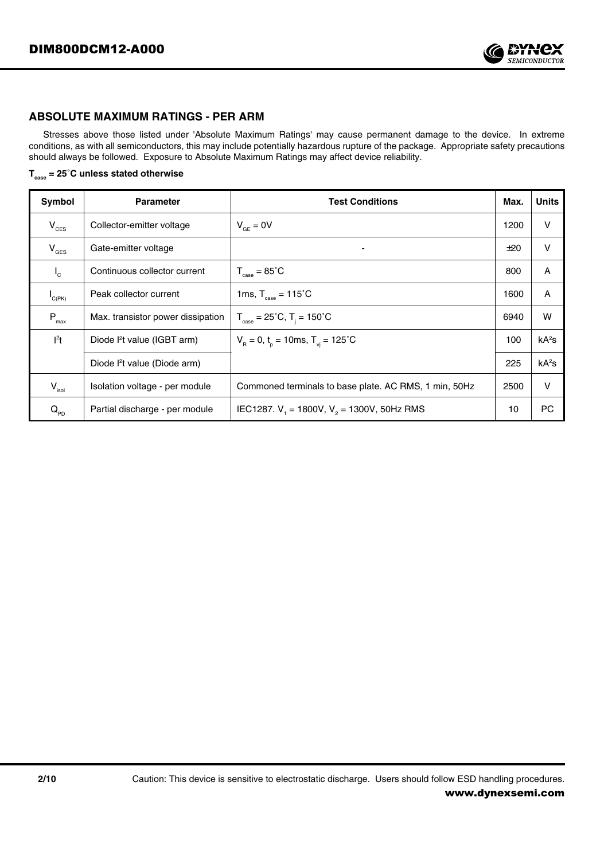

#### **ABSOLUTE MAXIMUM RATINGS - PER ARM**

Stresses above those listed under 'Absolute Maximum Ratings' may cause permanent damage to the device. In extreme conditions, as with all semiconductors, this may include potentially hazardous rupture of the package. Appropriate safety precautions should always be followed. Exposure to Absolute Maximum Ratings may affect device reliability.

**Tcase = 25˚C unless stated otherwise**

| Symbol                              | <b>Parameter</b>                         | <b>Test Conditions</b>                                  | Max. | <b>Units</b> |
|-------------------------------------|------------------------------------------|---------------------------------------------------------|------|--------------|
| $V_{CES}$                           | Collector-emitter voltage                | $V_{GF} = 0V$                                           | 1200 | v            |
| $V_{\text{GES}}$                    | Gate-emitter voltage                     | $\overline{\phantom{a}}$                                | ±20  | $\vee$       |
| $I_{\rm c}$                         | Continuous collector current             | $T_{\text{case}} = 85^{\circ}C$                         | 800  | A            |
| $I_{C(PK)}$                         | Peak collector current                   | 1ms, $T_{\text{case}} = 115^{\circ}$ C                  | 1600 | A            |
| $P_{\text{max}}$                    | Max. transistor power dissipation        | $T_{\text{case}} = 25^{\circ}$ C, $T_i = 150^{\circ}$ C | 6940 | W            |
| $l^2t$                              | Diode l <sup>2</sup> t value (IGBT arm)  | $V_B = 0$ , $t_p = 10$ ms, $T_{vi} = 125^{\circ}$ C     | 100  | $kA^2s$      |
|                                     | Diode l <sup>2</sup> t value (Diode arm) |                                                         | 225  | $kA^2s$      |
| $V_{\rm isol}$                      | Isolation voltage - per module           | Commoned terminals to base plate. AC RMS, 1 min, 50Hz   | 2500 | V            |
| $Q_{\scriptscriptstyle\mathrm{PD}}$ | Partial discharge - per module           | IEC1287. $V_1$ = 1800V, $V_2$ = 1300V, 50Hz RMS         | 10   | PC           |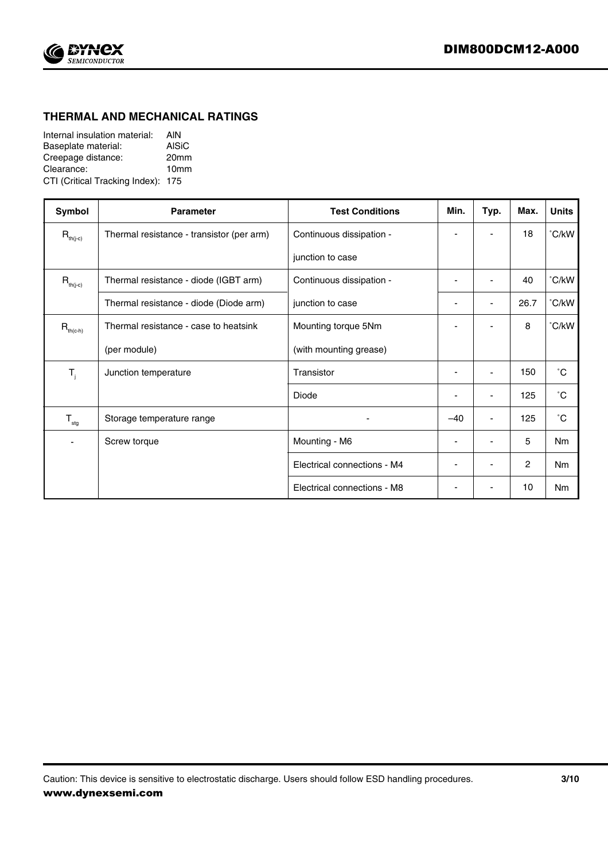

# **THERMAL AND MECHANICAL RATINGS**

| Internal insulation material:      | <b>AIN</b>       |
|------------------------------------|------------------|
| Baseplate material:                | AISiC            |
| Creepage distance:                 | 20 <sub>mm</sub> |
| Clearance:                         | 10 <sub>mm</sub> |
| CTI (Critical Tracking Index): 175 |                  |

| Symbol                    | <b>Parameter</b>                          | <b>Test Conditions</b>      | Min.                     | Typ.                     | Max.           | <b>Units</b>   |
|---------------------------|-------------------------------------------|-----------------------------|--------------------------|--------------------------|----------------|----------------|
| $R_{th(j-c)}$             | Thermal resistance - transistor (per arm) | Continuous dissipation -    |                          |                          | 18             | °C/kW          |
|                           |                                           | junction to case            |                          |                          |                |                |
| $R_{th(j-c)}$             | Thermal resistance - diode (IGBT arm)     | Continuous dissipation -    | $\overline{\phantom{a}}$ | $\blacksquare$           | 40             | °C/kW          |
|                           | Thermal resistance - diode (Diode arm)    | junction to case            |                          |                          | 26.7           | °C/kW          |
| $R_{th(c-h)}$             | Thermal resistance - case to heatsink     | Mounting torque 5Nm         |                          |                          | 8              | °C/kW          |
|                           | (per module)                              | (with mounting grease)      |                          |                          |                |                |
| $T_{j}$                   | Junction temperature                      | Transistor                  | $\overline{\phantom{a}}$ | $\overline{\phantom{a}}$ | 150            | $^{\circ}$ C   |
|                           |                                           | Diode                       | $\overline{\phantom{a}}$ | $\overline{\phantom{a}}$ | 125            | °С             |
| $\mathsf{T}_{\text{stg}}$ | Storage temperature range                 |                             | $-40$                    |                          | 125            | °С             |
|                           | Screw torque                              | Mounting - M6               | $\blacksquare$           |                          | 5              | Nm             |
|                           |                                           | Electrical connections - M4 | $\blacksquare$           |                          | $\overline{c}$ | N <sub>m</sub> |
|                           |                                           | Electrical connections - M8 |                          |                          | 10             | <b>Nm</b>      |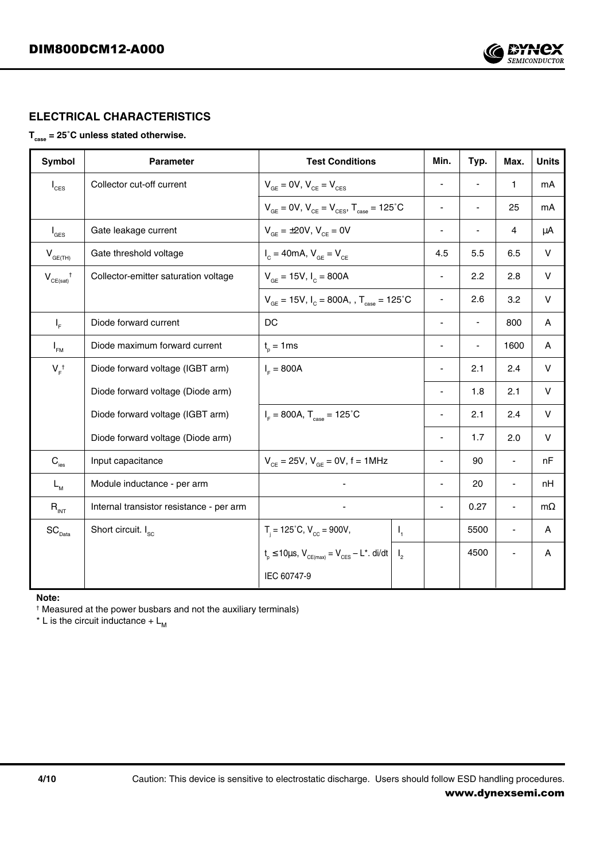

# **ELECTRICAL CHARACTERISTICS**

# T<sub>case</sub> = 25°C unless stated otherwise.

| Symbol                                  | <b>Parameter</b>                         | <b>Test Conditions</b>                                                             |         | Min.           | Typ. | Max.                     | <b>Units</b> |
|-----------------------------------------|------------------------------------------|------------------------------------------------------------------------------------|---------|----------------|------|--------------------------|--------------|
| $I_{\text{CES}}$                        | Collector cut-off current                | $V_{GE}$ = 0V, $V_{CE}$ = $V_{CES}$                                                |         |                |      | $\mathbf{1}$             | mA           |
|                                         |                                          | $V_{GE} = 0V$ , $V_{CE} = V_{CES}$ , $T_{case} = 125^{\circ}C$                     |         | ٠              |      | 25                       | mA           |
| $I_{\text{GES}}$                        | Gate leakage current                     | $V_{\text{GF}} = \pm 20 V, V_{\text{CF}} = 0V$                                     |         | -              |      | $\overline{4}$           | μA           |
| $\mathsf{V}_{\mathsf{GE}(\mathsf{TH})}$ | Gate threshold voltage                   | $I_c = 40 \text{mA}, V_{GE} = V_{CE}$                                              |         | 4.5            | 5.5  | 6.5                      | V            |
| $V_{CE(sat)}^{\dagger}$                 | Collector-emitter saturation voltage     | $V_{GE} = 15V, I_C = 800A$                                                         |         | ٠              | 2.2  | 2.8                      | V            |
|                                         |                                          | $V_{\text{GE}} = 15V$ , $I_{\text{C}} = 800A$ , , $T_{\text{case}} = 125^{\circ}C$ |         | ÷              | 2.6  | 3.2                      | V            |
| $I_{\rm F}$                             | Diode forward current                    | DC                                                                                 |         | ÷              |      | 800                      | A            |
| $I_{FM}$                                | Diode maximum forward current            | $t_{n} = 1$ ms                                                                     |         | ÷              |      | 1600                     | A            |
| $V_{F}^{\dagger}$                       | Diode forward voltage (IGBT arm)         | $I_{\rm E} = 800A$                                                                 |         |                | 2.1  | 2.4                      | V            |
|                                         | Diode forward voltage (Diode arm)        |                                                                                    |         | $\blacksquare$ | 1.8  | 2.1                      | V            |
|                                         | Diode forward voltage (IGBT arm)         | $I_{\rm F}$ = 800A, $T_{\rm case}$ = 125°C                                         |         |                | 2.1  | 2.4                      | $\vee$       |
|                                         | Diode forward voltage (Diode arm)        |                                                                                    |         |                | 1.7  | 2.0                      | $\vee$       |
| $\mathbf{C}_{\text{ies}}$               | Input capacitance                        | $V_{CF} = 25V$ , $V_{GF} = 0V$ , $f = 1MHz$                                        |         | ä,             | 90   | $\blacksquare$           | nF           |
| $L_{M}$                                 | Module inductance - per arm              |                                                                                    |         | $\blacksquare$ | 20   | $\overline{\phantom{a}}$ | nH           |
| $R_{INT}$                               | Internal transistor resistance - per arm |                                                                                    |         |                | 0.27 | $\blacksquare$           | $m\Omega$    |
| $SC_{Data}$                             | Short circuit. I <sub>sc</sub>           | $T_i = 125^{\circ}C$ , $V_{cc} = 900V$ ,                                           | $I_{1}$ |                | 5500 | $\blacksquare$           | A            |
|                                         |                                          | $t_p \le 10 \mu s$ , $V_{CE(max)} = V_{CES} - L^*$ . di/dt $ I_2 $                 |         |                | 4500 | $\overline{\phantom{a}}$ | A            |
|                                         |                                          | IEC 60747-9                                                                        |         |                |      |                          |              |

**Note:**

† Measured at the power busbars and not the auxiliary terminals)

\* L is the circuit inductance +  $L_{\text{M}}$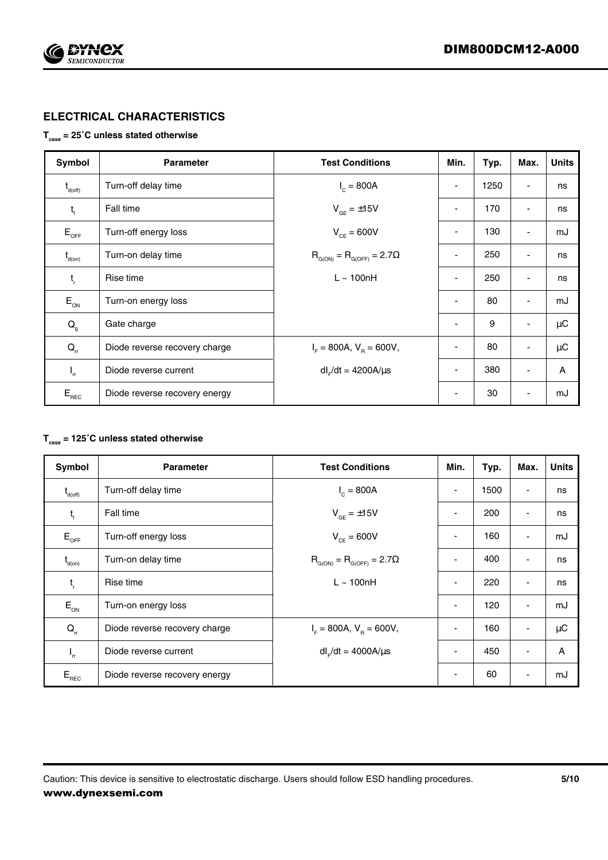

# **ELECTRICAL CHARACTERISTICS**

#### **Tcase = 25˚C unless stated otherwise**

| Symbol                                         | <b>Parameter</b>              | <b>Test Conditions</b>                  | Min.                     | Typ. | Max.                         | <b>Units</b> |
|------------------------------------------------|-------------------------------|-----------------------------------------|--------------------------|------|------------------------------|--------------|
| $t_{\text{d(off)}}$                            | Turn-off delay time           | $I_c = 800A$                            | $\overline{\phantom{a}}$ | 1250 | $\overline{\phantom{a}}$     | ns           |
| $t_{\rm f}$                                    | Fall time                     | $V_{GF} = \pm 15V$                      | $\overline{\phantom{a}}$ | 170  | $\overline{\phantom{a}}$     | ns           |
| $E_{_{\rm OFF}}$                               | Turn-off energy loss          | $V_{CF} = 600V$                         | ٠                        | 130  | $\overline{\phantom{a}}$     | mJ           |
| $t_{\text{\tiny d(0n)}}$                       | Turn-on delay time            | $R_{G(ON)} = R_{G(OFF)} = 2.7\Omega$    | $\overline{\phantom{a}}$ | 250  | $\overline{\phantom{a}}$     | ns           |
| $t_{\rm r}$                                    | Rise time                     | $L \sim 100nH$                          | $\overline{\phantom{a}}$ | 250  | $\qquad \qquad \blacksquare$ | ns           |
| $\mathsf{E}_{\scriptscriptstyle{\mathsf{ON}}}$ | Turn-on energy loss           |                                         | $\blacksquare$           | 80   | $\overline{\phantom{a}}$     | mJ           |
| $\mathsf{Q}_{_{\!g}}$                          | Gate charge                   |                                         | ٠                        | 9    | $\overline{\phantom{a}}$     | $\mu$ C      |
| $Q_{\rm r}$                                    | Diode reverse recovery charge | $I_{\rm F}$ = 800A, $V_{\rm B}$ = 600V, | $\overline{\phantom{a}}$ | 80   | $\overline{\phantom{a}}$     | $\mu C$      |
| $I_{rr}$                                       | Diode reverse current         | $dl$ <sub>F</sub> /dt = 4200A/ $\mu$ s  | ٠                        | 380  | $\blacksquare$               | A            |
| $E_{\text{REC}}$                               | Diode reverse recovery energy |                                         | $\overline{\phantom{a}}$ | 30   | -                            | mJ           |

# **Tcase = 125˚C unless stated otherwise**

| Symbol                                                       | <b>Parameter</b>              | <b>Test Conditions</b>               | Min.                     | Typ. | Max.                     | <b>Units</b> |
|--------------------------------------------------------------|-------------------------------|--------------------------------------|--------------------------|------|--------------------------|--------------|
| $t_{d(off)}$                                                 | Turn-off delay time           | $I_c = 800A$                         | ۰                        | 1500 | ٠                        | ns           |
| $t_{\rm f}$                                                  | Fall time                     | $V_{\text{GF}} = \pm 15V$            | $\blacksquare$           | 200  | $\overline{\phantom{a}}$ | ns           |
| $\mathsf{E}_{\mathsf{OFF}}$                                  | Turn-off energy loss          | $V_{CF} = 600V$                      |                          | 160  | ٠                        | mJ           |
| $\mathfrak{t}_{\scriptscriptstyle{\mathsf{d}(\mathsf{on})}}$ | Turn-on delay time            | $R_{G(ON)} = R_{G(OFF)} = 2.7\Omega$ | $\overline{\phantom{a}}$ | 400  | ٠                        | ns           |
| $t_{\rm r}$                                                  | Rise time                     | $L \sim 100nH$                       |                          | 220  | $\overline{\phantom{a}}$ | ns           |
| $E_{ON}$                                                     | Turn-on energy loss           |                                      | ٠                        | 120  | $\overline{\phantom{a}}$ | mJ           |
| $Q_{\rm r}$                                                  | Diode reverse recovery charge | $I_{F}$ = 800A, $V_{B}$ = 600V,      | $\blacksquare$           | 160  | $\overline{\phantom{a}}$ | $\mu$ C      |
| $\mathsf{I}_{\mathsf{r}\mathsf{r}}$                          | Diode reverse current         | $dl_{F}/dt = 4000A/\mu s$            | ۰                        | 450  | ٠                        | A            |
| $E_{\text{\tiny REC}}$                                       | Diode reverse recovery energy |                                      |                          | 60   | ٠                        | mJ           |

Caution: This device is sensitive to electrostatic discharge. Users should follow ESD handling procedures. **5/10** www.dynexsemi.com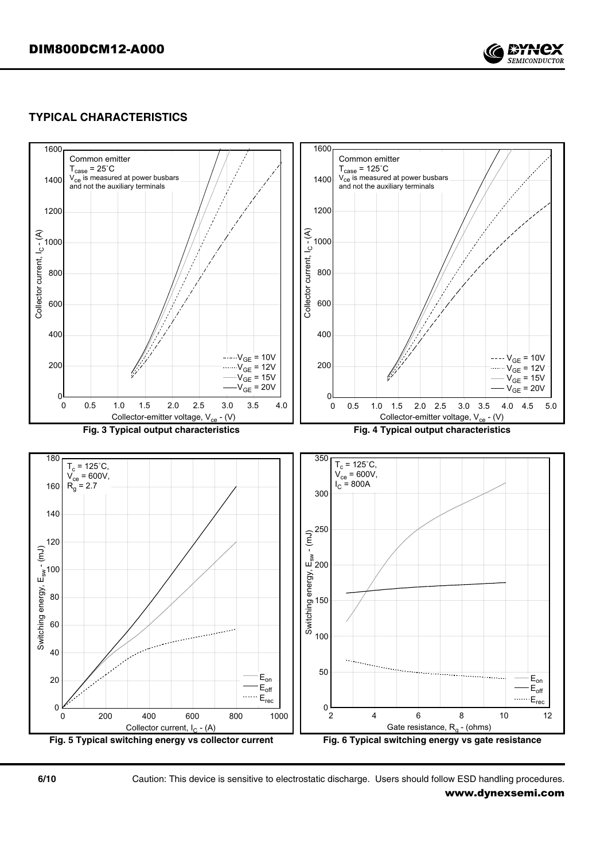

# **TYPICAL CHARACTERISTICS**



**6/10** Caution: This device is sensitive to electrostatic discharge. Users should follow ESD handling procedures.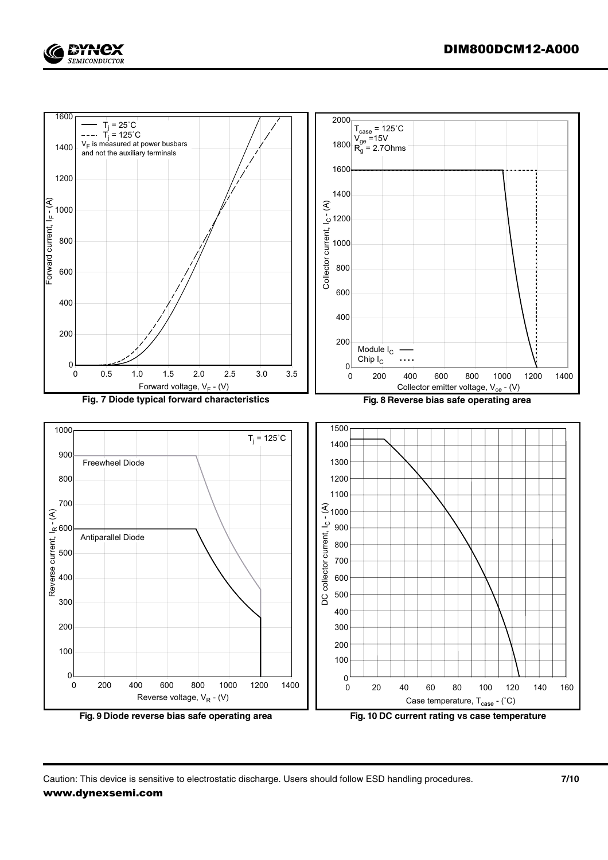

Caution: This device is sensitive to electrostatic discharge. Users should follow ESD handling procedures. **7/10**

EYNCX **SEMICONDUCTOR**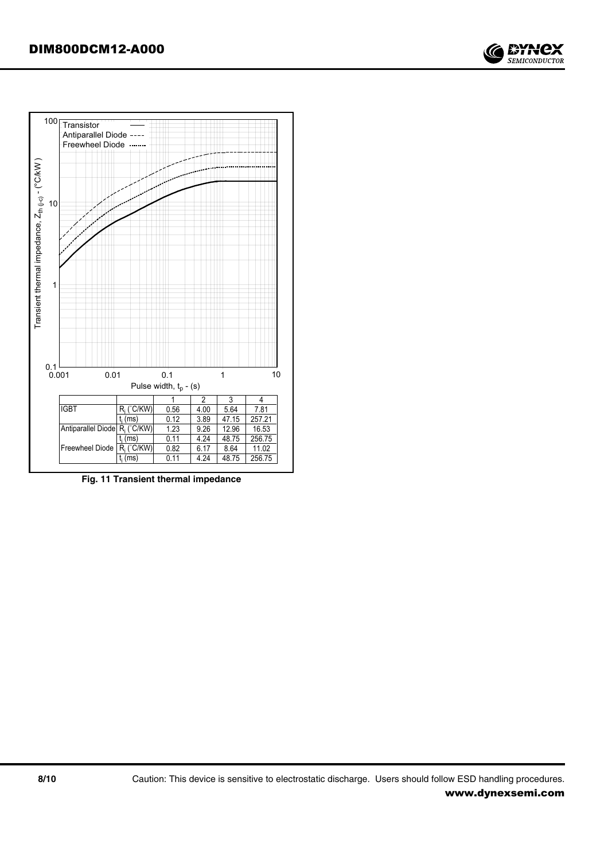



**Fig. 11 Transient thermal impedance**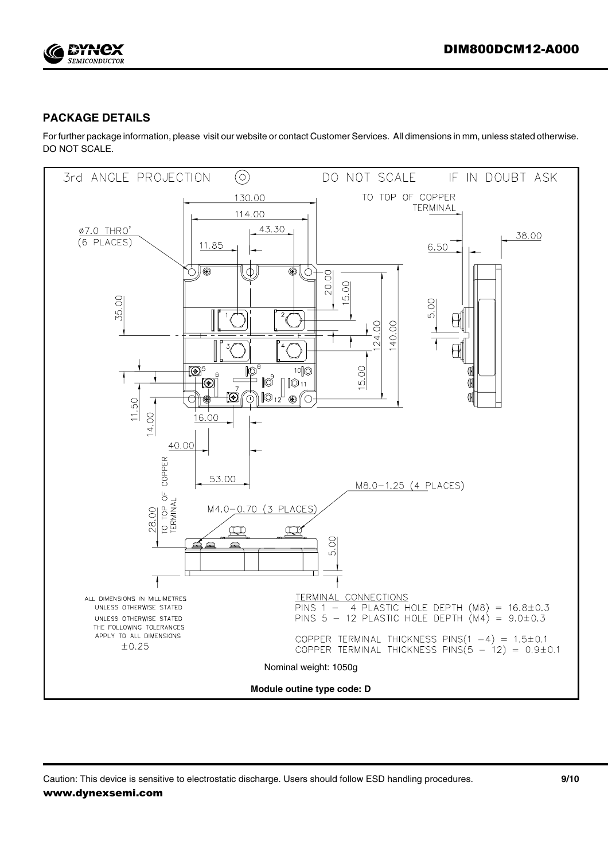

# **PACKAGE DETAILS**

For further package information, please visit our website or contact Customer Services. All dimensions in mm, unless stated otherwise. DO NOT SCALE.



Caution: This device is sensitive to electrostatic discharge. Users should follow ESD handling procedures. **9/10** www.dynexsemi.com